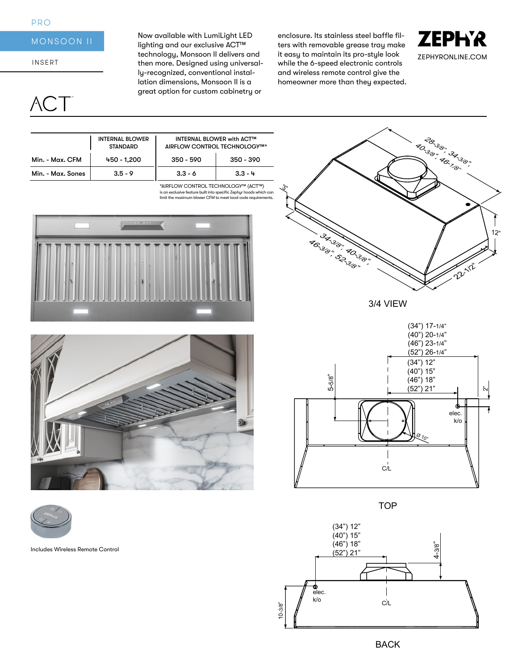### PRO

# MONSOON II

INSERT

 $\setminus$ 

Now available with LumiLight LED lighting and our exclusive ACT™ technology, Monsoon II delivers and then more. Designed using universally-recognized, conventional installation dimensions, Monsoon II is a great option for custom cabinetry or

enclosure. Its stainless steel baffle filters with removable grease tray make it easy to maintain its pro-style look while the 6-speed electronic controls and wireless remote control give the homeowner more than they expected.



|                                | <b>INTERNAL BLOWER</b><br><b>STANDARD</b> | <b>INTERNAL BLOWER with ACT™</b><br>AIRFLOW CONTROL TECHNOLOGY™ |             |
|--------------------------------|-------------------------------------------|-----------------------------------------------------------------|-------------|
| Min. - Max. CFM                | 450 - 1.200                               | $350 - 590$                                                     | $350 - 390$ |
| Min. - Max. Sones<br>$3.5 - 9$ |                                           | $3.3 - 6$                                                       | $3.3 - 4$   |

is an exclusive feature built into specific Zephyr hoods which can limit the maximum blower CFM to meet local code requirements. \*AIRFLOW CONTROL TECHNOLOGY™ (ACT™)







Includes Wireless Remote Control



3/4 VIEW